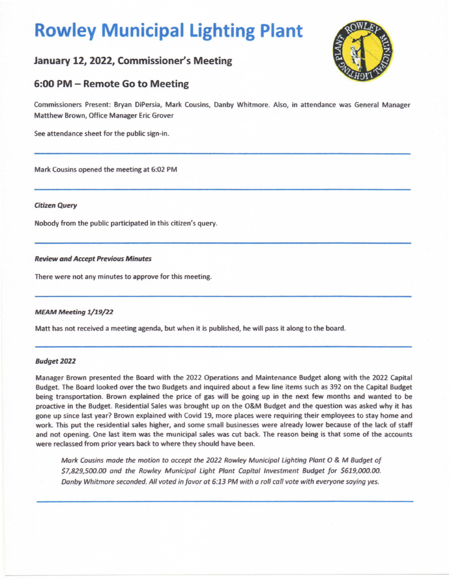# **Rowley Municipal Lighting Plant**

# January 12, 2022, Commissioner's Meeting

# 6:00 PM - Remote Go to Meeting

Commissioners Present: Bryan DiPersia, Mark Cousins, Danby Whitmore. Also, in attendance was General Manager Matthew Brown, Office Manager Eric Grover

See attendance sheet for the public sign-in.

Mark Cousins opened the meeting at 6:02 PM

#### **Citizen Query**

Nobodv from the public participated in this citizen's query.

## **Review and Accept Previous Minutes**

There were not any minutes to approve for this meeting.

## **MEAM Meeting 1/19/22**

Matt has not received a meeting agenda, but when it is published, he will pass it along to the board.

#### **Budget2022**

Manager Brown presented the Board with the 2022 Operations and Maintenance Budget along with the 2022 Capital Budget. The Board looked over the two Budgets and inquired about a few line items such as 392 on the Capital Budget being transportation. Brown explained the price of gas will be going up in the next few months and wanted to be proactive in the Budget. Residential Sales was brought up on the O&M Budget and the question was asked why it has gone up since last year? Brown explained with Covid 19, more places were requiring their employees to stay home and work. This put the residential sales higher, and some small businesses were already lower because of the lack of staff and not opening. One last item was the municipal sales was cut back. The reason being is that some of the accounts were reclassed from prior years back to where they should have been.

Mark Cousins made the motion to accept the 2022 Rowley Municipal Lighting Plant O & M Budget of \$[7,829,500.00](https://7,829,500.00) and the Rowley Municipal Light Plant Capital Investment Budget for [\\$619,000.00.](https://619,000.00) Danby Whitmore seconded. All voted in favor at 6:13 PM with a roll call vote with everyone saying yes.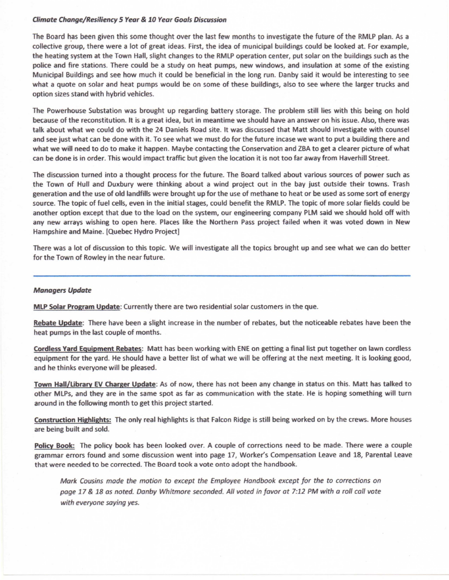#### **Oimate Change/Resiliency S Year** & **10 Year Goals Discussion**

The Board has been given this some thought over the last few months to investigate the future of the RMLP plan. As a collective group, there were a lot of great ideas. First, the idea of municipal buildings could be looked at. For example, the heating system at the Town Hall, slight changes to the RMLP operation center, put solar on the buildings such as the police and fire stations. There could be a study on heat pumps, new windows, and insulation at some of the existing Municipal Buildings and see how much it could be beneficial in the long run. Danby said it would be interesting to see what a quote on solar and heat pumps would be on some of these buildings, also to see where the larger trucks and option sizes stand with hybrid vehicles.

The Powerhouse Substation was brought up regarding battery storage. The problem still lies with this being on hold because of the reconstitution. It is a great idea, but in meantime we should have an answer on his issue. Also, there was talk about what we could do with the 24 Daniels Road site. It was discussed that Matt should investigate with counsel and see just what can be done with it. To see what we must do for the future incase we want to put a building there and what **we will** need to do to make it happen. Maybe contacting the Conservation and ZBA to get a clearer picture of what can be done is in order. This would impact traffic but given the location it is not too far **away** from Haverhill Street.

The discussion turned into a thought process for the future. The Board talked about various sources of power such as the Town of Hull and Duxbury were thinking about a wind project out in the bay just outside their towns. Trash generation and the use of old landfills were brought up for the use of methane to heat or be used as some sort of energy source. The topic of fuel cells, even in the initial stages, could benefit the RMLP. The topic of more solar fields could be another option except that due to the load on the system, our engineering company PLM said we should hold off with any new arrays wishing to open here. Places like the Northern Pass project failed when it was voted down in New Hampshire and Maine. (Quebec Hydro Project]

There was a lot of discussion to this topic. We will investigate all the topics brought up and see what we can do better for the Town of Rowley in the near future.

#### **Managers Update**

**MLP Solar Program Update:** Currently there are two residential solar customers in the que.

**Rebate Update:** There have been a slight increase in the number of rebates, but the noticeable rebates have been the heat pumps in the last couple of months.

**Cordless Yard Equipment Rebates:** Matt has been working with ENE on getting a final list put together on lawn cordless equipment for the yard. He should have a better list of what we will be offering at the next meeting. It is looking good, and he thinks everyone will be pleased.

**Town Hall/Library EV Charger Update:** As of now, there has not been any change in status on this. Matt has talked to other MLPs, and they are in the same spot as far as communication with the state. He is hoping something will tum around in the following month to get this project started.

**Construction Highlights:** The only real highlights is that Falcon Ridge is still being worked on by the crews. More houses are being built and sold.

**Policy Book:** The policy book has been looked over. A couple of corrections need to be made. There were a couple grammar errors found and some discussion went into page 17, Worker's Compensation Leave and 18, Parental Leave that were needed to be corrected. The Board took a vote onto adopt the handbook.

Mark Cousins made the motion to except the Employee Handbook except for the to corrections on page 17 & 18 as noted. Danby Whitmore seconded. All voted in favor at 7:12 PM with a roll call vote with everyone saying yes.